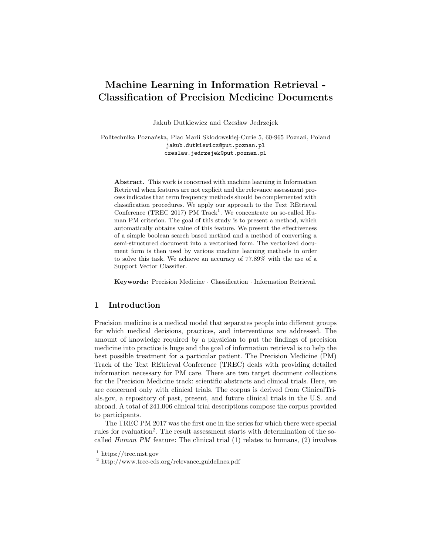# Machine Learning in Information Retrieval - Classification of Precision Medicine Documents

Jakub Dutkiewicz and Czesław Jedrzejek

Politechnika Poznańska, Plac Marii Skłodowskiej-Curie 5, 60-965 Poznań, Poland jakub.dutkiewicz@put.poznan.pl czeslaw.jedrzejek@put.poznan.pl

Abstract. This work is concerned with machine learning in Information Retrieval when features are not explicit and the relevance assessment process indicates that term frequency methods should be complemented with classification procedures. We apply our approach to the Text REtrieval Conference (TREC 2017) PM Track<sup>1</sup>. We concentrate on so-called Human PM criterion. The goal of this study is to present a method, which automatically obtains value of this feature. We present the effectiveness of a simple boolean search based method and a method of converting a semi-structured document into a vectorized form. The vectorized document form is then used by various machine learning methods in order to solve this task. We achieve an accuracy of 77.89% with the use of a Support Vector Classifier.

Keywords: Precision Medicine · Classification · Information Retrieval.

# 1 Introduction

Precision medicine is a medical model that separates people into different groups for which medical decisions, practices, and interventions are addressed. The amount of knowledge required by a physician to put the findings of precision medicine into practice is huge and the goal of information retrieval is to help the best possible treatment for a particular patient. The Precision Medicine (PM) Track of the Text REtrieval Conference (TREC) deals with providing detailed information necessary for PM care. There are two target document collections for the Precision Medicine track: scientific abstracts and clinical trials. Here, we are concerned only with clinical trials. The corpus is derived from ClinicalTrials.gov, a repository of past, present, and future clinical trials in the U.S. and abroad. A total of 241,006 clinical trial descriptions compose the corpus provided to participants.

The TREC PM 2017 was the first one in the series for which there were special rules for evaluation<sup>2</sup>. The result assessment starts with determination of the socalled Human PM feature: The clinical trial (1) relates to humans, (2) involves

<sup>1</sup> https://trec.nist.gov

<sup>2</sup> http://www.trec-cds.org/relevance guidelines.pdf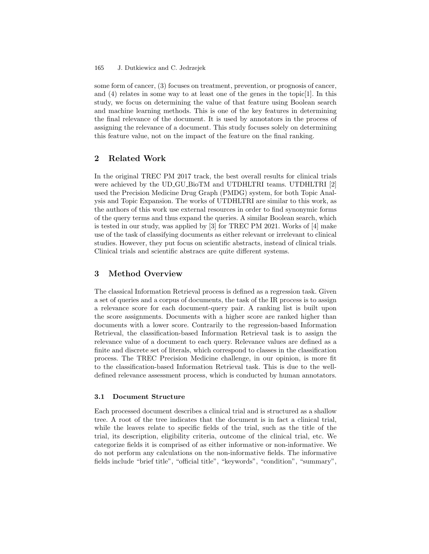#### J. Dutkiewicz and C. Jedrzejek 165

some form of cancer, (3) focuses on treatment, prevention, or prognosis of cancer, and (4) relates in some way to at least one of the genes in the topic[1]. In this study, we focus on determining the value of that feature using Boolean search and machine learning methods. This is one of the key features in determining the final relevance of the document. It is used by annotators in the process of assigning the relevance of a document. This study focuses solely on determining this feature value, not on the impact of the feature on the final ranking.

# 2 Related Work

In the original TREC PM 2017 track, the best overall results for clinical trials were achieved by the UD GU BioTM and UTDHLTRI teams. UTDHLTRI [2] used the Precision Medicine Drug Graph (PMDG) system, for both Topic Analysis and Topic Expansion. The works of UTDHLTRI are similar to this work, as the authors of this work use external resources in order to find synonymic forms of the query terms and thus expand the queries. A similar Boolean search, which is tested in our study, was applied by [3] for TREC PM 2021. Works of [4] make use of the task of classifying documents as either relevant or irrelevant to clinical studies. However, they put focus on scientific abstracts, instead of clinical trials. Clinical trials and scientific abstracs are quite different systems.

# 3 Method Overview

The classical Information Retrieval process is defined as a regression task. Given a set of queries and a corpus of documents, the task of the IR process is to assign a relevance score for each document-query pair. A ranking list is built upon the score assignments. Documents with a higher score are ranked higher than documents with a lower score. Contrarily to the regression-based Information Retrieval, the classification-based Information Retrieval task is to assign the relevance value of a document to each query. Relevance values are defined as a finite and discrete set of literals, which correspond to classes in the classification process. The TREC Precision Medicine challenge, in our opinion, is more fit to the classification-based Information Retrieval task. This is due to the welldefined relevance assessment process, which is conducted by human annotators.

### 3.1 Document Structure

Each processed document describes a clinical trial and is structured as a shallow tree. A root of the tree indicates that the document is in fact a clinical trial, while the leaves relate to specific fields of the trial, such as the title of the trial, its description, eligibility criteria, outcome of the clinical trial, etc. We categorize fields it is comprised of as either informative or non-informative. We do not perform any calculations on the non-informative fields. The informative fields include "brief title", "official title", "keywords", "condition", "summary",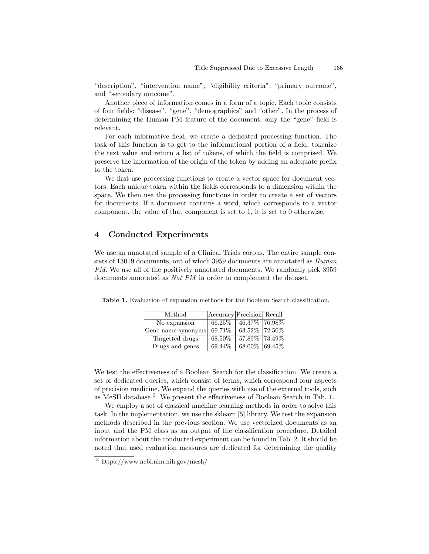"description", "intervention name", "eligibility criteria", "primary outcome", and "secondary outcome".

Another piece of information comes in a form of a topic. Each topic consists of four fields: "disease", "gene", "demographics" and "other". In the process of determining the Human PM feature of the document, only the "gene" field is relevant.

For each informative field, we create a dedicated processing function. The task of this function is to get to the informational portion of a field, tokenize the text value and return a list of tokens, of which the field is comprised. We preserve the information of the origin of the token by adding an adequate prefix to the token.

We first use processing functions to create a vector space for document vectors. Each unique token within the fields corresponds to a dimension within the space. We then use the processing functions in order to create a set of vectors for documents. If a document contains a word, which corresponds to a vector component, the value of that component is set to 1, it is set to 0 otherwise.

# 4 Conducted Experiments

We use an annotated sample of a Clinical Trials corpus. The entire sample consists of 13019 documents, out of which 3959 documents are annotated as Human PM. We use all of the positively annotated documents. We randomly pick 3959 documents annotated as Not PM in order to complement the dataset.

| Method             | Accuracy Precision Recall |                 |  |
|--------------------|---------------------------|-----------------|--|
| No expansion       | 66.25\%                   | 46.37\% 76.98\% |  |
| Gene name synonyms | 69.71\%                   | 63.52\% 72.50\% |  |
| Targetted drugs    | 68.50%                    | 57.89% 73.49%   |  |
| Drugs and genes    | 69.44\%                   | 68.00% 69.45%   |  |

Table 1. Evaluation of expansion methods for the Boolean Search classification.

We test the effectiveness of a Boolean Search for the classification. We create a set of dedicated queries, which consist of terms, which correspond four aspects of precision medicine. We expand the queries with use of the external tools, such as MeSH database <sup>3</sup> . We present the effectiveness of Boolean Search in Tab. 1.

We employ a set of classical machine learning methods in order to solve this task. In the implementation, we use the sklearn [5] library. We test the expansion methods described in the previous section. We use vectorized documents as an input and the PM class as an output of the classification procedure. Detailed information about the conducted experiment can be found in Tab. 2. It should be noted that used evaluation measures are dedicated for determining the quality

<sup>3</sup> https://www.ncbi.nlm.nih.gov/mesh/